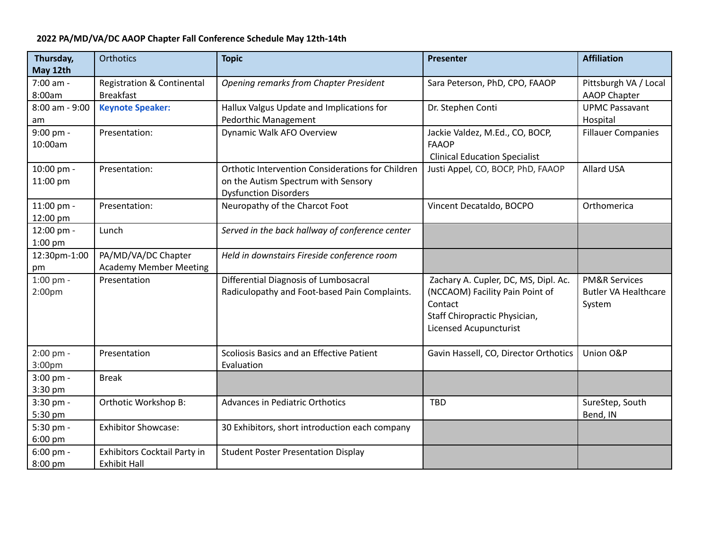## **2022 PA/MD/VA/DC AAOP Chapter Fall Conference Schedule May 12th-14th**

| Thursday,<br>May 12th             | <b>Orthotics</b>                                          | <b>Topic</b>                                                                                                             | Presenter                                                                                                                                     | <b>Affiliation</b>                                                |
|-----------------------------------|-----------------------------------------------------------|--------------------------------------------------------------------------------------------------------------------------|-----------------------------------------------------------------------------------------------------------------------------------------------|-------------------------------------------------------------------|
| 7:00 am -<br>8:00am               | <b>Registration &amp; Continental</b><br><b>Breakfast</b> | Opening remarks from Chapter President                                                                                   | Sara Peterson, PhD, CPO, FAAOP                                                                                                                | Pittsburgh VA / Local<br><b>AAOP Chapter</b>                      |
| 8:00 am - 9:00<br>am              | <b>Keynote Speaker:</b>                                   | Hallux Valgus Update and Implications for<br>Pedorthic Management                                                        | Dr. Stephen Conti                                                                                                                             | <b>UPMC Passavant</b><br>Hospital                                 |
| 9:00 pm -<br>10:00am              | Presentation:                                             | <b>Dynamic Walk AFO Overview</b>                                                                                         | Jackie Valdez, M.Ed., CO, BOCP,<br><b>FAAOP</b><br><b>Clinical Education Specialist</b>                                                       | <b>Fillauer Companies</b>                                         |
| 10:00 pm -<br>11:00 pm            | Presentation:                                             | Orthotic Intervention Considerations for Children<br>on the Autism Spectrum with Sensory<br><b>Dysfunction Disorders</b> | Justi Appel, CO, BOCP, PhD, FAAOP                                                                                                             | Allard USA                                                        |
| 11:00 pm -<br>12:00 pm            | Presentation:                                             | Neuropathy of the Charcot Foot                                                                                           | Vincent Decataldo, BOCPO                                                                                                                      | Orthomerica                                                       |
| 12:00 pm -<br>1:00 pm             | Lunch                                                     | Served in the back hallway of conference center                                                                          |                                                                                                                                               |                                                                   |
| 12:30pm-1:00<br>pm                | PA/MD/VA/DC Chapter<br><b>Academy Member Meeting</b>      | Held in downstairs Fireside conference room                                                                              |                                                                                                                                               |                                                                   |
| $1:00$ pm -<br>2:00 <sub>pm</sub> | Presentation                                              | Differential Diagnosis of Lumbosacral<br>Radiculopathy and Foot-based Pain Complaints.                                   | Zachary A. Cupler, DC, MS, Dipl. Ac.<br>(NCCAOM) Facility Pain Point of<br>Contact<br>Staff Chiropractic Physician,<br>Licensed Acupuncturist | <b>PM&amp;R Services</b><br><b>Butler VA Healthcare</b><br>System |
| 2:00 pm -<br>3:00pm               | Presentation                                              | Scoliosis Basics and an Effective Patient<br>Evaluation                                                                  | Gavin Hassell, CO, Director Orthotics                                                                                                         | Union O&P                                                         |
| 3:00 pm -<br>3:30 pm              | <b>Break</b>                                              |                                                                                                                          |                                                                                                                                               |                                                                   |
| 3:30 pm -<br>5:30 pm              | Orthotic Workshop B:                                      | <b>Advances in Pediatric Orthotics</b>                                                                                   | <b>TBD</b>                                                                                                                                    | SureStep, South<br>Bend, IN                                       |
| 5:30 pm -<br>6:00 pm              | <b>Exhibitor Showcase:</b>                                | 30 Exhibitors, short introduction each company                                                                           |                                                                                                                                               |                                                                   |
| $6:00$ pm -<br>8:00 pm            | Exhibitors Cocktail Party in<br><b>Exhibit Hall</b>       | <b>Student Poster Presentation Display</b>                                                                               |                                                                                                                                               |                                                                   |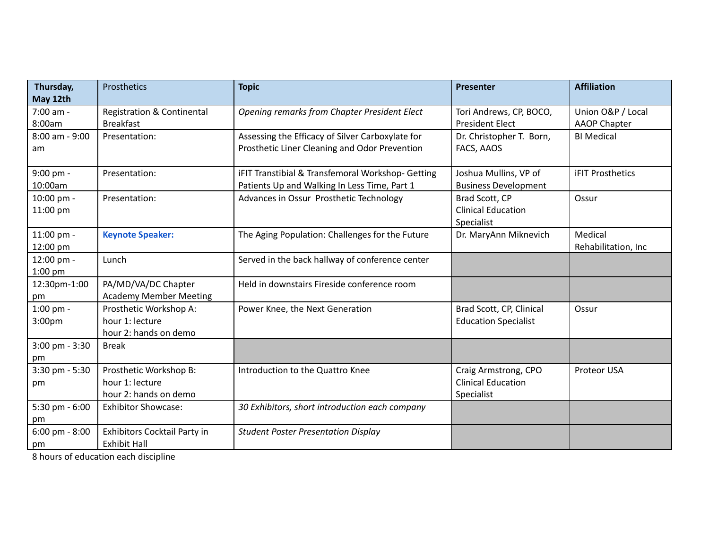| Thursday,<br>May 12th    | Prosthetics                                                        | <b>Topic</b>                                                                                      | <b>Presenter</b>                                                | <b>Affiliation</b>                       |
|--------------------------|--------------------------------------------------------------------|---------------------------------------------------------------------------------------------------|-----------------------------------------------------------------|------------------------------------------|
| 7:00 am -<br>8:00am      | <b>Registration &amp; Continental</b><br><b>Breakfast</b>          | Opening remarks from Chapter President Elect                                                      | Tori Andrews, CP, BOCO,<br><b>President Elect</b>               | Union O&P / Local<br><b>AAOP Chapter</b> |
| 8:00 am - 9:00<br>am     | Presentation:                                                      | Assessing the Efficacy of Silver Carboxylate for<br>Prosthetic Liner Cleaning and Odor Prevention | Dr. Christopher T. Born,<br>FACS, AAOS                          | <b>BI Medical</b>                        |
| 9:00 pm -<br>10:00am     | Presentation:                                                      | iFIT Transtibial & Transfemoral Workshop- Getting<br>Patients Up and Walking In Less Time, Part 1 | Joshua Mullins, VP of<br><b>Business Development</b>            | <b>iFIT Prosthetics</b>                  |
| 10:00 pm -<br>11:00 pm   | Presentation:                                                      | Advances in Ossur Prosthetic Technology                                                           | Brad Scott, CP<br><b>Clinical Education</b><br>Specialist       | Ossur                                    |
| 11:00 pm -<br>12:00 pm   | <b>Keynote Speaker:</b>                                            | The Aging Population: Challenges for the Future                                                   | Dr. MaryAnn Miknevich                                           | Medical<br>Rehabilitation, Inc           |
| 12:00 pm -<br>$1:00$ pm  | Lunch                                                              | Served in the back hallway of conference center                                                   |                                                                 |                                          |
| 12:30pm-1:00<br>pm       | PA/MD/VA/DC Chapter<br><b>Academy Member Meeting</b>               | Held in downstairs Fireside conference room                                                       |                                                                 |                                          |
| 1:00 pm -<br>3:00pm      | Prosthetic Workshop A:<br>hour 1: lecture<br>hour 2: hands on demo | Power Knee, the Next Generation                                                                   | Brad Scott, CP, Clinical<br><b>Education Specialist</b>         | Ossur                                    |
| $3:00$ pm - $3:30$<br>pm | <b>Break</b>                                                       |                                                                                                   |                                                                 |                                          |
| 3:30 pm - 5:30<br>pm     | Prosthetic Workshop B:<br>hour 1: lecture<br>hour 2: hands on demo | Introduction to the Quattro Knee                                                                  | Craig Armstrong, CPO<br><b>Clinical Education</b><br>Specialist | Proteor USA                              |
| 5:30 pm - 6:00<br>pm     | <b>Exhibitor Showcase:</b>                                         | 30 Exhibitors, short introduction each company                                                    |                                                                 |                                          |
| $6:00$ pm - $8:00$<br>pm | Exhibitors Cocktail Party in<br><b>Exhibit Hall</b>                | <b>Student Poster Presentation Display</b>                                                        |                                                                 |                                          |

8 hours of education each discipline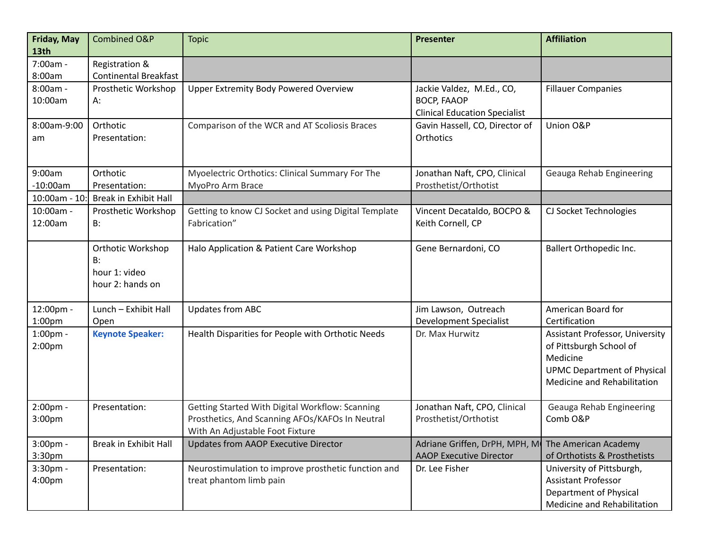| Friday, May<br>13th             | Combined O&P                                                        | <b>Topic</b>                                                                                                                          | <b>Presenter</b>                                                                        | <b>Affiliation</b>                                                                                                                                 |
|---------------------------------|---------------------------------------------------------------------|---------------------------------------------------------------------------------------------------------------------------------------|-----------------------------------------------------------------------------------------|----------------------------------------------------------------------------------------------------------------------------------------------------|
| 7:00am -<br>8:00am              | Registration &<br><b>Continental Breakfast</b>                      |                                                                                                                                       |                                                                                         |                                                                                                                                                    |
| 8:00am -<br>10:00am             | Prosthetic Workshop<br>А:                                           | <b>Upper Extremity Body Powered Overview</b>                                                                                          | Jackie Valdez, M.Ed., CO,<br><b>BOCP, FAAOP</b><br><b>Clinical Education Specialist</b> | <b>Fillauer Companies</b>                                                                                                                          |
| 8:00am-9:00<br>am               | Orthotic<br>Presentation:                                           | Comparison of the WCR and AT Scoliosis Braces                                                                                         | Gavin Hassell, CO, Director of<br>Orthotics                                             | Union O&P                                                                                                                                          |
| 9:00am<br>$-10:00am$            | Orthotic<br>Presentation:                                           | Myoelectric Orthotics: Clinical Summary For The<br>MyoPro Arm Brace                                                                   | Jonathan Naft, CPO, Clinical<br>Prosthetist/Orthotist                                   | Geauga Rehab Engineering                                                                                                                           |
| 10:00am - 10:                   | <b>Break in Exhibit Hall</b>                                        |                                                                                                                                       |                                                                                         |                                                                                                                                                    |
| 10:00am -<br>12:00am            | Prosthetic Workshop<br><b>B:</b>                                    | Getting to know CJ Socket and using Digital Template<br>Fabrication"                                                                  | Vincent Decataldo, BOCPO &<br>Keith Cornell, CP                                         | CJ Socket Technologies                                                                                                                             |
|                                 | <b>Orthotic Workshop</b><br>B:<br>hour 1: video<br>hour 2: hands on | Halo Application & Patient Care Workshop                                                                                              | Gene Bernardoni, CO                                                                     | Ballert Orthopedic Inc.                                                                                                                            |
| 12:00pm -<br>1:00 <sub>pm</sub> | Lunch - Exhibit Hall<br>Open                                        | <b>Updates from ABC</b>                                                                                                               | Jim Lawson, Outreach<br><b>Development Specialist</b>                                   | American Board for<br>Certification                                                                                                                |
| 1:00pm -<br>2:00 <sub>pm</sub>  | <b>Keynote Speaker:</b>                                             | Health Disparities for People with Orthotic Needs                                                                                     | Dr. Max Hurwitz                                                                         | <b>Assistant Professor, University</b><br>of Pittsburgh School of<br>Medicine<br><b>UPMC Department of Physical</b><br>Medicine and Rehabilitation |
| 2:00pm -<br>3:00pm              | Presentation:                                                       | Getting Started With Digital Workflow: Scanning<br>Prosthetics, And Scanning AFOs/KAFOs In Neutral<br>With An Adjustable Foot Fixture | Jonathan Naft, CPO, Clinical<br>Prosthetist/Orthotist                                   | Geauga Rehab Engineering<br>Comb O&P                                                                                                               |
| 3:00pm -<br>3:30 <sub>pm</sub>  | <b>Break in Exhibit Hall</b>                                        | Updates from AAOP Executive Director                                                                                                  | Adriane Griffen, DrPH, MPH, M<br><b>AAOP Executive Director</b>                         | The American Academy<br>of Orthotists & Prosthetists                                                                                               |
| 3:30pm -<br>4:00pm              | Presentation:                                                       | Neurostimulation to improve prosthetic function and<br>treat phantom limb pain                                                        | Dr. Lee Fisher                                                                          | University of Pittsburgh,<br>Assistant Professor<br>Department of Physical<br>Medicine and Rehabilitation                                          |